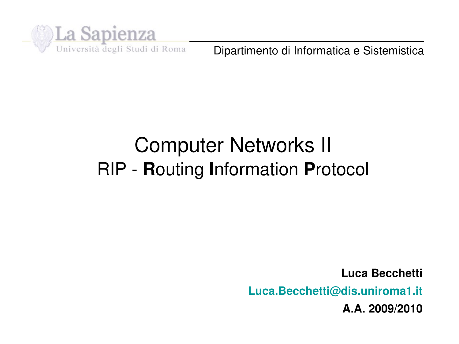

Dipartimento di Informatica e Sistemistica

# Computer Networks II RIP **R**outing **I**nformation **P**rotocol

**Luca Becchetti Luca.Becchetti@dis.uniroma1.it A.A. 2009/2010**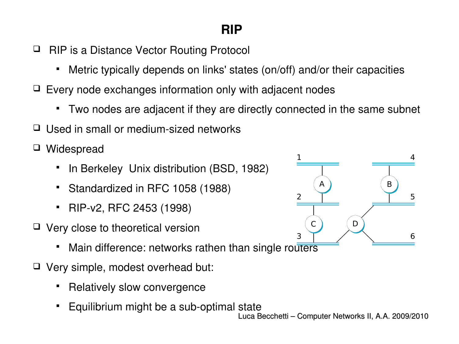## **RIP**

- □ RIP is a Distance Vector Routing Protocol
	- Metric typically depends on links' states (on/off) and/or their capacities
- $\Box$  Every node exchanges information only with adjacent nodes
	- Two nodes are adjacent if they are directly connected in the same subnet
- $\Box$  Used in small or medium-sized networks
- Widespread
	- **In Berkeley Unix distribution (BSD, 1982)**
	- Standardized in RFC 1058 (1988)
	- RIPv2, RFC 2453 (1998)
- $\Box$  Very close to theoretical version
	- Main difference: networks rathen than single routers
- □ Very simple, modest overhead but:
	- Relatively slow convergence
	- Equilibrium might be a sub-optimal state

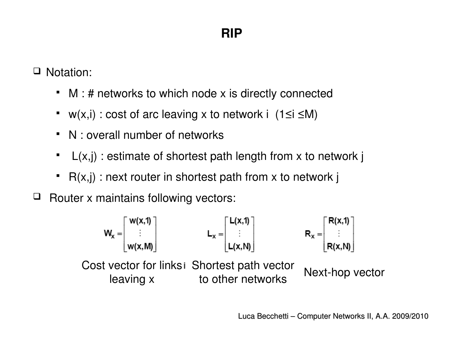□ Notation:

- M : # networks to which node x is directly connected
- $w(x,i)$  : cost of arc leaving x to network i (1≤i ≤M)
- N : overall number of networks
- $L(x, j)$ : estimate of shortest path length from x to network j
- $R(x,j)$ : next router in shortest path from x to network j
- $\Box$  Router x maintains following vectors:



Luca Becchetti – Computer Networks II, A.A. 2009/2010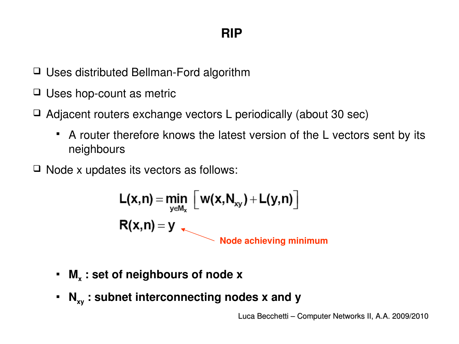- $\Box$  Uses distributed Bellman-Ford algorithm
- $\Box$  Uses hop-count as metric
- $\Box$  Adjacent routers exchange vectors L periodically (about 30 sec)
	- A router therefore knows the latest version of the L vectors sent by its neighbours
- $\Box$  Node x updates its vectors as follows:

$$
L(x,n) = \min_{y \in M_x} \left[ w(x,N_{xy}) + L(y,n) \right]
$$
  
R(x,n) = y  
Node achieving minimum

- **M<sup>x</sup> : set of neighbours of node x**
- **Nxy : subnet interconnecting nodes x and y**

Luca Becchetti – Computer Networks II, A.A. 2009/2010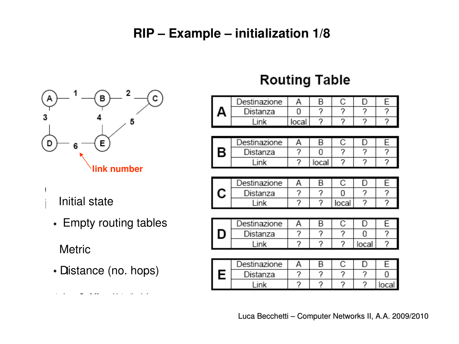#### **RIP – Example – initialization 1/8**



- Initial state
	- Empty routing tables

**Metric** 

Distance (no. hops)

# **Routing Table**

| )estinazione |  |  |  |
|--------------|--|--|--|
| Distanza     |  |  |  |
|              |  |  |  |

|   | )estinazione |  |  |  |
|---|--------------|--|--|--|
| Β | Distanza     |  |  |  |
|   | ink          |  |  |  |

| ⊃estinazione |  |        |  |
|--------------|--|--------|--|
| Distanza     |  |        |  |
| ink          |  | local. |  |

| Destinazione |  |  |  |
|--------------|--|--|--|
| Distanza     |  |  |  |
| inl          |  |  |  |

| Destinazione |  |  |  |
|--------------|--|--|--|
| Distanza     |  |  |  |
|              |  |  |  |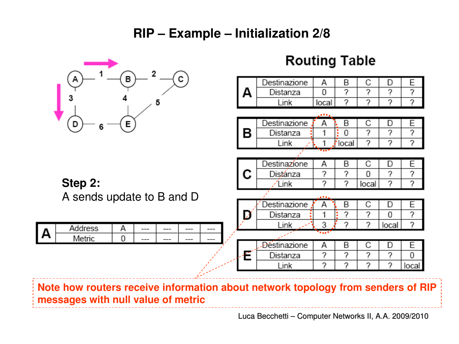#### **RIP – Example – Initialization 2/8**



**Note how routers receive information about network topology from senders of RIP messages with null value of metric** 

Luca Becchetti – Computer Networks II, A.A. 2009/2010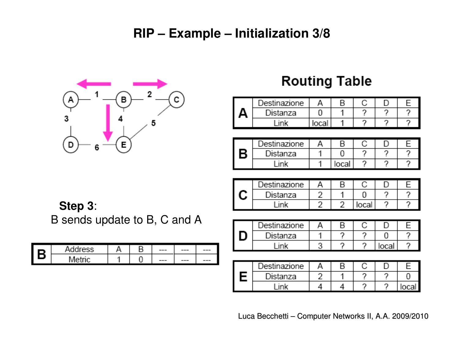#### **RIP – Example – Initialization 3/8**



#### **Routing Table**

| )estinazione | F |  |  |
|--------------|---|--|--|
| ำistanza     |   |  |  |
|              |   |  |  |

|   | ⊃estinazione | п     |  |  |
|---|--------------|-------|--|--|
| В | Distanza     |       |  |  |
|   | ink          | local |  |  |

| ⊃estinazione |  |      |  |
|--------------|--|------|--|
| Distanza     |  |      |  |
|              |  | ncal |  |

#### **Step 3**:

B sends update to B, C and A

| o | roce                  |  | $---$ | $---$   | --- |
|---|-----------------------|--|-------|---------|-----|
| u | M <sub>0</sub><br>мет |  | ---   | $- - -$ | --- |

| Destinazione |  |  |  |
|--------------|--|--|--|
| Distanza     |  |  |  |
| ink          |  |  |  |

| ⊃estinazione |  |  |  |
|--------------|--|--|--|
| Distanza     |  |  |  |
| ink          |  |  |  |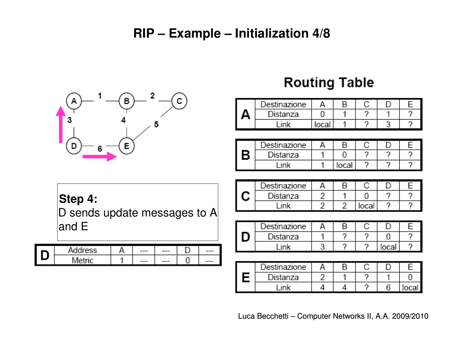#### **RIP – Example – Initialization 4/8**



## **Routing Table**

| )estinazione |  |  |  |
|--------------|--|--|--|
| Distanza     |  |  |  |
|              |  |  |  |

|   | )estinazione |     |  |  |
|---|--------------|-----|--|--|
| в | Distanza     |     |  |  |
|   | ink          | nra |  |  |

#### **Step 4:**

D sends update messages to A and E

| ddress | --- | $---$ | --- |
|--------|-----|-------|-----|
| Metric | --- | $---$ | --- |

|        | )estinazione |  |        |  |
|--------|--------------|--|--------|--|
| ৲<br>ے | Distanza     |  |        |  |
|        | ink          |  | local. |  |

| ⊃estinazione |  |  |  |
|--------------|--|--|--|
| Distanza     |  |  |  |
| ink          |  |  |  |

| Jestinazione |  |  |  |
|--------------|--|--|--|
| Distanza     |  |  |  |
|              |  |  |  |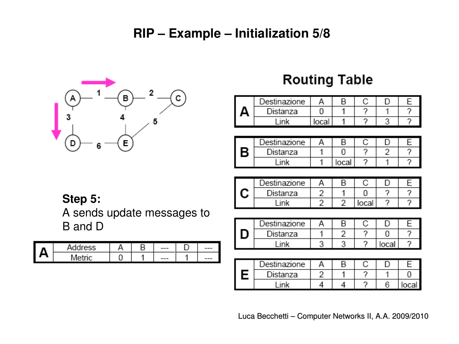#### **RIP – Example – Initialization 5/8**



## **Routing Table**

| )estinazione |  |  |  |
|--------------|--|--|--|
| Distanza     |  |  |  |
|              |  |  |  |

|   | ⊃estinazione |  |  |  |
|---|--------------|--|--|--|
| Q | Distanza     |  |  |  |
|   | ink          |  |  |  |

Α

2

 $\overline{2}$ 

B

1

 $\overline{2}$ 

C

0

local

D

?

7

Ε

?

?

Destinazione

Distanza

Link

С

| Step 5: |  |
|---------|--|

A sends update messages to B and D

| ш | Address |  | --- | --- |
|---|---------|--|-----|-----|
| Δ | Metric  |  | --- | --- |

| Jestinazione |  |  |  |
|--------------|--|--|--|
| Distanza     |  |  |  |
| ink          |  |  |  |

| Destinazione |  |  |  |
|--------------|--|--|--|
| Distanza     |  |  |  |
| ink          |  |  |  |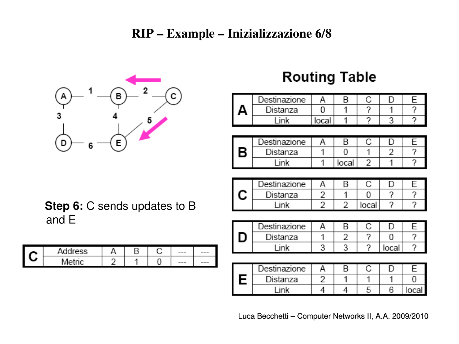#### RIP – Example – Inizializzazione 6/8



# **Routing Table**

| Destinazione |  |  |  |
|--------------|--|--|--|
| Distanza     |  |  |  |
|              |  |  |  |

|   | )estinazione |  |  |  |
|---|--------------|--|--|--|
| R | Distanza     |  |  |  |
|   | ink          |  |  |  |

|        | )estinazione |  |      |  |
|--------|--------------|--|------|--|
| ৲<br>◢ | Distanza     |  |      |  |
|        | ink          |  | ncal |  |

| Destinazione |  |      |  |
|--------------|--|------|--|
| Distanza     |  |      |  |
| -ink         |  | loca |  |

| Destinazione |  |  |      |
|--------------|--|--|------|
| Distanza     |  |  |      |
| ink          |  |  | ביתר |

**Step 6:** C sends updates to B and E

| ∼ | Address |  | v | --- | --- |
|---|---------|--|---|-----|-----|
| م | Metric  |  | - | --- | --- |

Luca Becchetti – Computer Networks II, A.A. 2009/2010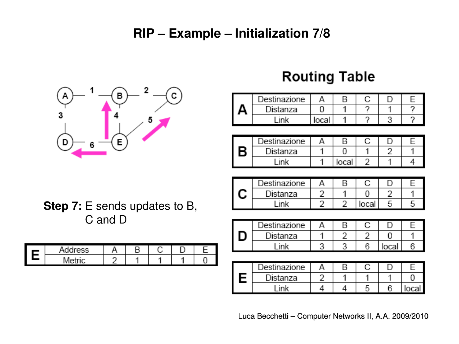#### **RIP – Example – Initialization 7/8**



# **Routing Table**

|   | )estinazione |     |  |  |
|---|--------------|-----|--|--|
| ш | Distanza     |     |  |  |
|   |              | במר |  |  |

|   | )estinazione |       |  |  |
|---|--------------|-------|--|--|
| B | Distanza     |       |  |  |
|   | ink          | loca. |  |  |

|   | Destinazione |  |      |  |
|---|--------------|--|------|--|
| ৲ | Distanza     |  |      |  |
|   | ink          |  | ocal |  |

| )estinazione |  |   |       |  |
|--------------|--|---|-------|--|
| Distanza     |  |   |       |  |
| un le        |  | с | local |  |

|  | ⊃estinazione |  |  |  |
|--|--------------|--|--|--|
|  | Distanza     |  |  |  |
|  |              |  |  |  |

**Step 7:** E sends updates to B, C and D

| address.  |  |  |  |
|-----------|--|--|--|
| Metri<br> |  |  |  |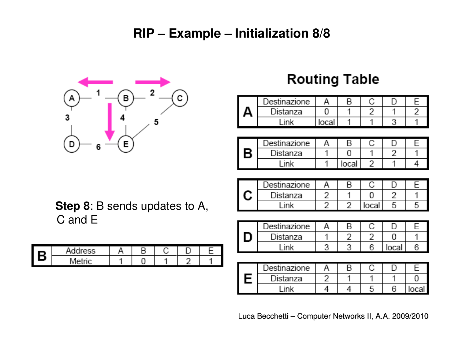#### **RIP – Example – Initialization 8/8**



# **Routing Table**

| )estinazione |     |  |  |
|--------------|-----|--|--|
| Distanza     |     |  |  |
|              | ากล |  |  |

|   | ⊃estinazione |      |  |  |
|---|--------------|------|--|--|
| B | Distanza     |      |  |  |
|   | ink          | loca |  |  |

| Destinazione |  |       |  |
|--------------|--|-------|--|
| Distanza     |  |       |  |
| -ink         |  | local |  |

| <i>D</i> estinazione |  |     |  |
|----------------------|--|-----|--|
| Distanza             |  |     |  |
| ink                  |  | oca |  |

| Destinazione |  |  |  |
|--------------|--|--|--|
| Distanza     |  |  |  |
| -ink         |  |  |  |

**Step 8**: B sends updates to A, C and E

| I R | Address |  |  |  |
|-----|---------|--|--|--|
|     | Metric  |  |  |  |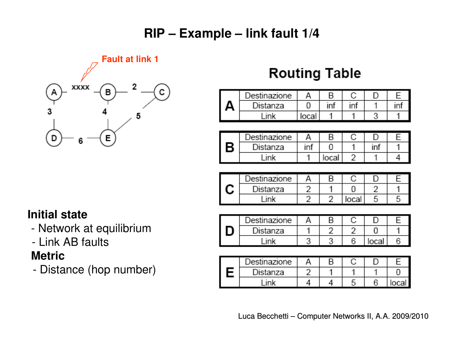## **RIP – Example – link fault 1/4**



# **Routing Table**

| Destinazione |     |     |  |
|--------------|-----|-----|--|
| Distanza     |     | וחו |  |
| -ink         | ากล |     |  |

|   | )estinazione |     |  |  |
|---|--------------|-----|--|--|
| В | Distanza     |     |  |  |
|   | ink          | oca |  |  |

| )estinazione |  |       |  |
|--------------|--|-------|--|
| Distanza     |  |       |  |
| ink          |  | local |  |

#### **Initial state**

- Network at equilibrium
- Link AB faults

#### **Metric**

Distance (hop number)

| Jestinazione |  |  |  |
|--------------|--|--|--|
| Distanza     |  |  |  |
| ink          |  |  |  |

| Destinazione |  |  |       |
|--------------|--|--|-------|
| Distanza     |  |  |       |
| ink          |  |  | Incal |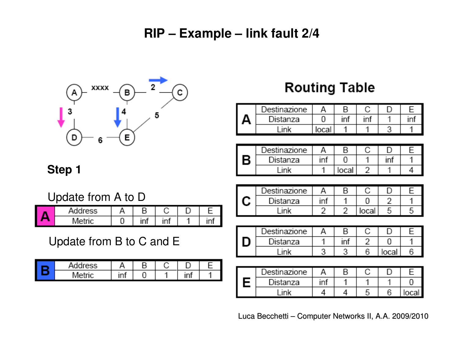#### **RIP – Example – link fault 2/4**



#### **Routing Table**

| <i>e</i> stinazione | Е  |  |  |
|---------------------|----|--|--|
| Distanza            | ın |  |  |
| ink                 |    |  |  |

|          | Destinazione | F   |  |  |
|----------|--------------|-----|--|--|
| <b>B</b> | Distanza     |     |  |  |
|          | ink          | ביי |  |  |

| Step 1 |  |
|--------|--|
|--------|--|

Update from A to D

| Address | В                                                                          |              |  |
|---------|----------------------------------------------------------------------------|--------------|--|
| Metric  | $\frac{1}{2} \left( \frac{1}{2} \right) \left( \frac{1}{2} \right)$<br>ını | ۰<br>ır<br>Ш |  |

Update from B to C and E

| цL.<br>dress<br>и |               | ⋼<br>□ |               |  |
|-------------------|---------------|--------|---------------|--|
| <b>Metric</b>     | -<br>۰<br>ınt |        | ٠<br>-<br>ınt |  |

|        | )estinazione |     |       |  |
|--------|--------------|-----|-------|--|
| ৲<br>پ | Distanza     | ını |       |  |
|        | ink          |     | local |  |

| Destinazione |  |   |     |  |
|--------------|--|---|-----|--|
| Distanza     |  |   |     |  |
| ink          |  | e | oca |  |

| ⊃estinazione |     |  |     |
|--------------|-----|--|-----|
| Distanza     | inf |  |     |
| ink          |     |  | าคว |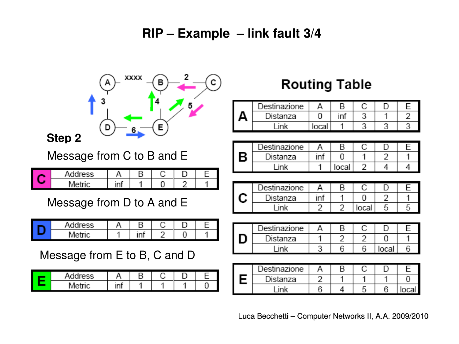#### **RIP – Example – link fault 3/4**



| saldroee i<br>л |           |  |  |
|-----------------|-----------|--|--|
| $\cdots$        | ۰<br><br> |  |  |

# **Routing Table**

|   | )estinazione |  |  |  |
|---|--------------|--|--|--|
| ∽ | Distanza     |  |  |  |
|   |              |  |  |  |

|   | ⊃estinazione |    |       |  |  |
|---|--------------|----|-------|--|--|
| D | Distanza     | ın |       |  |  |
|   | -ink         |    | local |  |  |

|        | Jestinazione |  |      |  |
|--------|--------------|--|------|--|
| ৲<br>◡ | Distanza     |  |      |  |
|        | ink          |  | ocal |  |

| Destinazione |  |   |       |  |
|--------------|--|---|-------|--|
| Distanza     |  |   |       |  |
| ink          |  | R | local |  |

| Destinazione |  |  |  |
|--------------|--|--|--|
| Distanza     |  |  |  |
| inl          |  |  |  |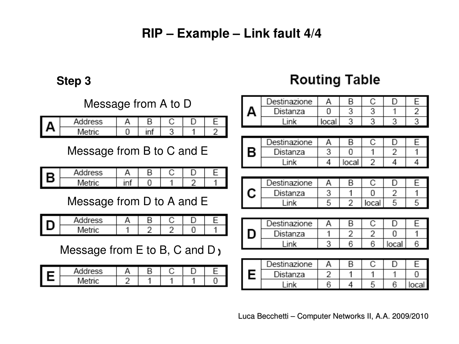#### **RIP – Example – Link fault 4/4**

**Step 3**

#### Message from A to D

| ο. | address                                                                                                                                                                                                                                             |                   |  |  |
|----|-----------------------------------------------------------------------------------------------------------------------------------------------------------------------------------------------------------------------------------------------------|-------------------|--|--|
| ъ  | M<br>$\sim$<br><b>The Contract of the Contract of the Contract of the Contract of the Contract of the Contract of The Contract of The Contract of The Contract of The Contract of The Contract of The Contract of The Contract of The Contract </b> | ٠<br>1 M<br>Ш<br> |  |  |

Message from B to C and E

| R | Address |    | n |  |  |
|---|---------|----|---|--|--|
| ▱ | Metric  | ın |   |  |  |

Message from D to A and E

| Addrese | ⊓ |  |  |
|---------|---|--|--|
| Metric  |   |  |  |

Arr Message from E to B, C and D<sub>1</sub>

| Address |  |  |  |
|---------|--|--|--|
| Metric  |  |  |  |

# **Routing Table**

|   | estinazione |  |  |  |
|---|-------------|--|--|--|
| ▲ | Distanza    |  |  |  |
|   | ını         |  |  |  |

|   | .)estinazione |       |  |  |
|---|---------------|-------|--|--|
| В | Distanza      |       |  |  |
|   | ink           | احمما |  |  |

| )estinazione |  |     |  |
|--------------|--|-----|--|
| Distanza     |  |     |  |
| ink          |  | oca |  |

| Jestinazione |  |  |  |
|--------------|--|--|--|
| Distanza     |  |  |  |
|              |  |  |  |

| Destinazione |  |  |  |
|--------------|--|--|--|
| Distanza     |  |  |  |
| ink          |  |  |  |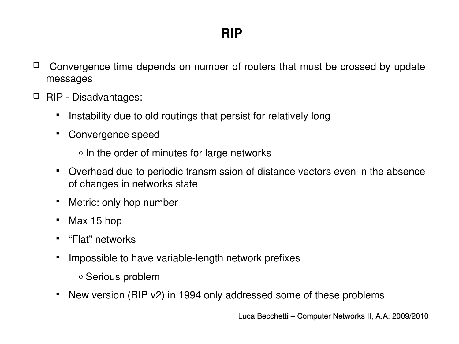- $\Box$  Convergence time depends on number of routers that must be crossed by update messages
- $\Box$  RIP Disadvantages:
	- **I.** Instability due to old routings that persist for relatively long
	- Convergence speed
		- o In the order of minutes for large networks
	- Overhead due to periodic transmission of distance vectors even in the absence of changes in networks state
	- Metric: only hop number
	- Max 15 hop
	- "Flat" networks
	- **IMPOSSIBLE TO have variable-length network prefixes** 
		- o Serious problem
	- New version (RIP v2) in 1994 only addressed some of these problems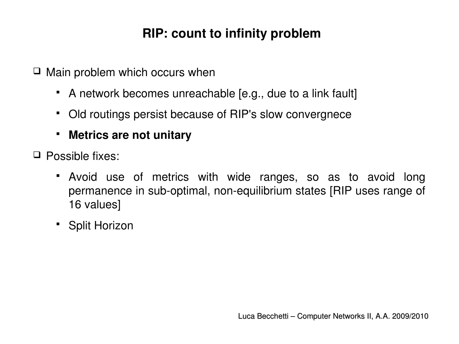# **RIP: count to infinity problem**

 $\Box$  Main problem which occurs when

- A network becomes unreachable [e.g., due to a link fault]
- Old routings persist because of RIP's slow convergnece
- **Metrics are not unitary**
- Possible fixes:
	- Avoid use of metrics with wide ranges, so as to avoid long permanence in sub-optimal, non-equilibrium states [RIP uses range of 16 values]
	- **Split Horizon**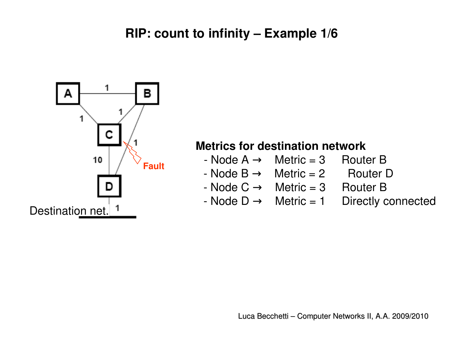#### **RIP: count to infinity – Example 1/6**



#### **Metrics for destination network**

- $-$  Node A  $\rightarrow$  Metric = 3 Router B
- $-$  Node B  $\rightarrow$  Metric = 2 Router D
- $-$  Node C  $\rightarrow$  Metric = 3 Router B
- Node  $D \rightarrow$  Metric = 1 Directly connected
	-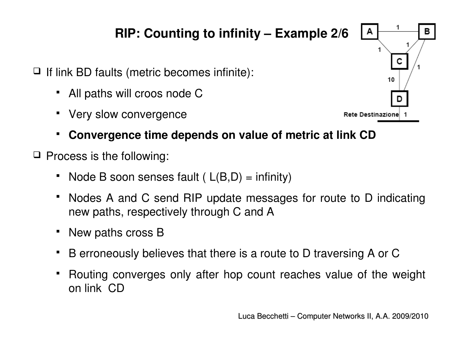# **RIP: Counting to infinity – Example 2/6**

- $\Box$  If link BD faults (metric becomes infinite):
	- All paths will croos node C
	- Very slow convergence



- $\Box$  Process is the following:
	- Node B soon senses fault (  $L(B,D) = \text{infinity}$ )
	- Nodes A and C send RIP update messages for route to D indicating new paths, respectively through C and A
	- New paths cross B
	- B erroneously believes that there is a route to D traversing A or C
	- Routing converges only after hop count reaches value of the weight on link CD

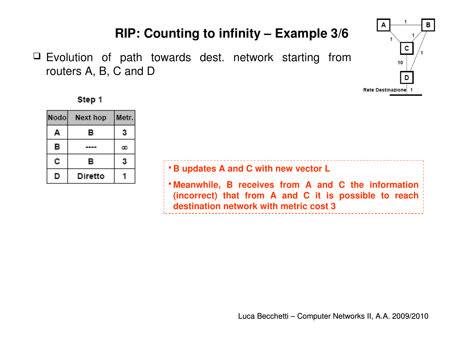## **RIP: Counting to infinity – Example 3/6**

 Evolution of path towards dest. network starting from routers A, B, C and D





| Nodo | Next hop | Metr. |
|------|----------|-------|
| А    | в        | 3     |
| в    |          | œ     |
| с    | в        | 3     |
| D    | Diretto  |       |

| <b>B</b> updates A and C with new vector L                                                                                                                                                      |
|-------------------------------------------------------------------------------------------------------------------------------------------------------------------------------------------------|
| $\frac{1}{2}$ Meanwhile, B receives from A and C the information<br>$\frac{1}{2}$ (incorrect) that from A and C it is possible to reach $\frac{1}{2}$<br>destination network with metric cost 3 |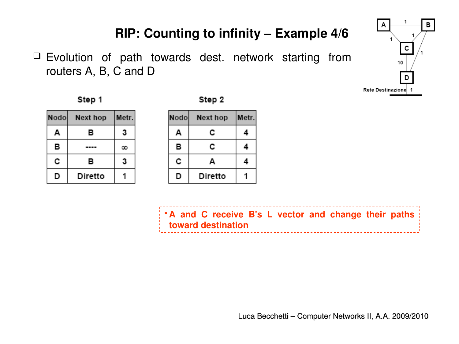## **RIP: Counting to infinity – Example 4/6**

 $\Box$  Evolution of path towards dest. network starting from routers A, B, C and D

1 A в c 10 D Rete Destinazione 1



|--|--|

| Nodol | Next hop | Metr. |
|-------|----------|-------|
| Д     | в        | 3     |
| в     |          | œ     |
| с     | в        | 3     |
| D     | Diretto  |       |

| Nodo | Next hop | Metr. |
|------|----------|-------|
| А    | c        |       |
| в    | c        | 4     |
| c    | А        |       |
| IJ   | Diretto  |       |

**A and C receive B's L vector and change their paths toward destination** \_\_\_\_\_\_\_\_\_\_\_\_\_\_\_\_\_\_\_\_\_\_\_\_\_\_\_\_\_\_\_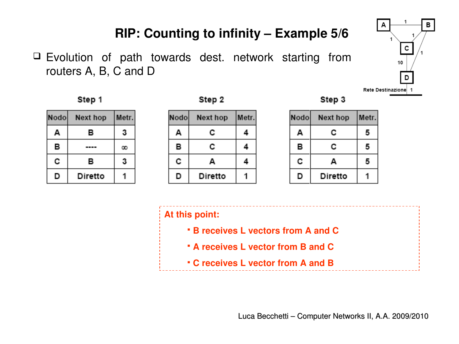## **RIP: Counting to infinity – Example 5/6**

 $\Box$  Evolution of path towards dest. network starting from routers A, B, C and D





Nodo Next hop Metr. в 3 A в  $\cdots$  $\infty$ c в 3 1 D Diretto

| Nodo | Next hop | Metr. |
|------|----------|-------|
| А    | c        | 4     |
| в    | c        | 4     |
| c    | А        |       |
| D    | Diretto  |       |

Step 3

| Nodo | Next hop | Metr. |
|------|----------|-------|
| А    | с        | 5     |
| в    | с        | 5     |
| с    | А        | 5     |
| D    | Diretto  |       |

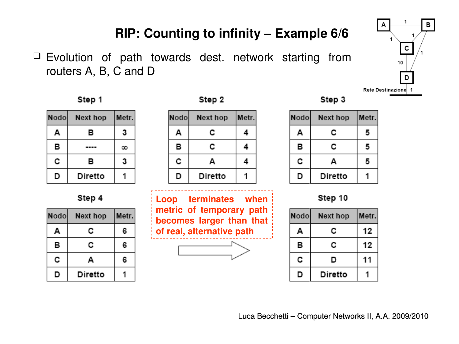#### **RIP: Counting to infinity – Example 6/6**

 $\Box$  Evolution of path towards dest. network starting from routers A, B, C and D



Step 1

| Nodol | Next hop | Metr. |
|-------|----------|-------|
| A     | в        | 3     |
| в     |          | œ     |
| с     | в        | 3     |
| D     | Diretto  |       |

Step 4

| Nodol | Next hop | Metr. |
|-------|----------|-------|
| Д     | c        | 6     |
| в     | с        | 6     |
| с     | Д        | 6     |
| D     | Diretto  |       |

Step 2

| Nodol | Next hop | Metr. |
|-------|----------|-------|
| А     | c        |       |
| в     | c        |       |
| c     | А        |       |
| D     | Diretto  |       |

**Loop terminates when metric of temporary path becomes larger than that of real, alternative path** 



| Nodo | Next hop | Metr. |
|------|----------|-------|
| А    | с        | 5     |
| в    | с        | 5     |
| с    | А        | 5     |
| D    | Diretto  |       |



| Nodo | Next hop | Metr. |
|------|----------|-------|
| А    | c        | 12    |
| в    | c        | 12    |
| с    | D        | 11    |
| D    | Diretto  |       |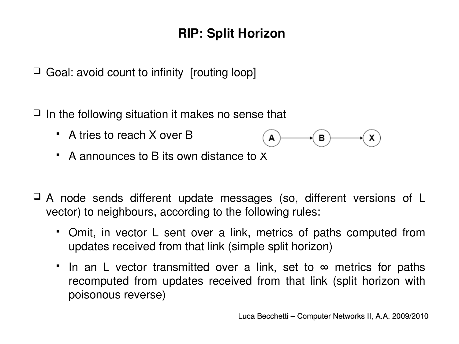# **RIP: Split Horizon**

 $\Box$  Goal: avoid count to infinity [routing loop]

- $\Box$  In the following situation it makes no sense that
	- A tries to reach X over B



- A announces to B its own distance to X
- $\Box$  A node sends different update messages (so, different versions of L vector) to neighbours, according to the following rules:
	- Omit, in vector L sent over a link, metrics of paths computed from updates received from that link (simple split horizon)
	- If in an L vector transmitted over a link, set to  $\infty$  metrics for paths recomputed from updates received from that link (split horizon with poisonous reverse)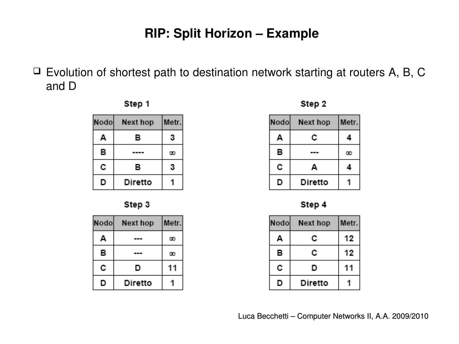#### **RIP: Split Horizon – Example**

 $\Box$  Evolution of shortest path to destination network starting at routers A, B, C and D







| Nodol | Next hop | Metr. |
|-------|----------|-------|
| А     |          |       |
| в     |          |       |
| с     | D        | 11    |
| נו    | Diretto  |       |

Step 2

| Nodo | Next hop | Metr. |
|------|----------|-------|
| А    | c        |       |
| в    |          | œ     |
| с    | Д        |       |
| O    | Diretto  |       |

Step 4

| Nodo | Next hop | Metr. |
|------|----------|-------|
| д    | c        | 12    |
| в    | c        | 12    |
| с    | D        |       |
|      | Diretto  |       |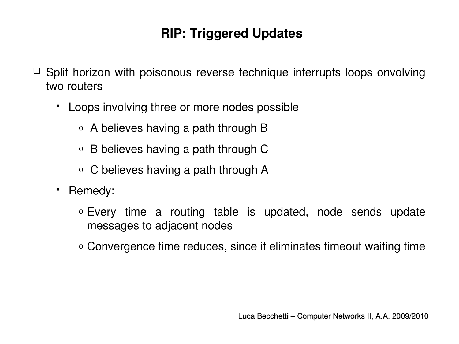# **RIP: Triggered Updates**

- $\Box$  Split horizon with poisonous reverse technique interrupts loops onvolving two routers
	- Loops involving three or more nodes possible
		- o A believes having a path through B
		- o B believes having a path through C
		- o C believes having a path through A
	- Remedy:
		- o Every time a routing table is updated, node sends update messages to adjacent nodes
		- o Convergence time reduces, since it eliminates timeout waiting time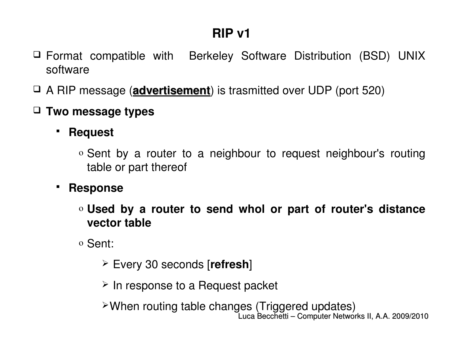- $\Box$  Format compatible with Berkeley Software Distribution (BSD) UNIX software
- A RIP message (**advertisement**) is trasmitted over UDP (port 520)
- **Two message types**
	- **PREQUEST** 
		- o Sent by a router to a neighbour to request neighbour's routing table or part thereof
	- **Response**
		- o **Used by a router to send whol or part of router's distance vector table**
		- o Sent:
			- Every 30 seconds [**refresh**]
			- $\geq$  In response to a Request packet

Luca Becchetti – Computer Networks II, A.A. 2009/2010 When routing table changes (Triggered updates)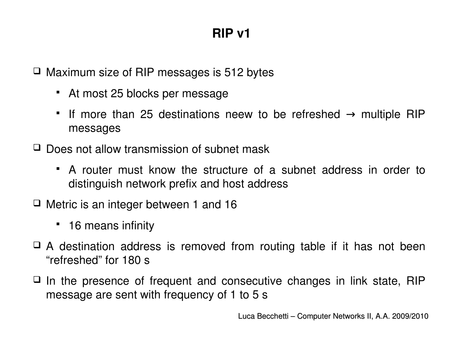$\Box$  Maximum size of RIP messages is 512 bytes

- At most 25 blocks per message
- If more than 25 destinations neew to be refreshed  $\rightarrow$  multiple RIP messages
- $\Box$  Does not allow transmission of subnet mask
	- A router must know the structure of a subnet address in order to distinguish network prefix and host address
- $\Box$  Metric is an integer between 1 and 16
	- 16 means infinity
- $\Box$  A destination address is removed from routing table if it has not been "refreshed" for 180 s
- $\Box$  In the presence of frequent and consecutive changes in link state, RIP message are sent with frequency of 1 to 5 s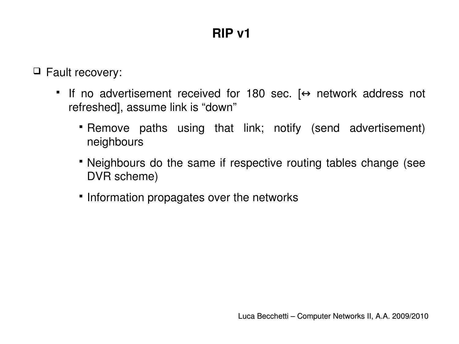Fault recovery:

- If no advertisement received for 180 sec.  $\leftrightarrow$  network address not refreshed], assume link is "down"
	- Remove paths using that link; notify (send advertisement) neighbours
	- Neighbours do the same if respective routing tables change (see DVR scheme)
	- **· Information propagates over the networks**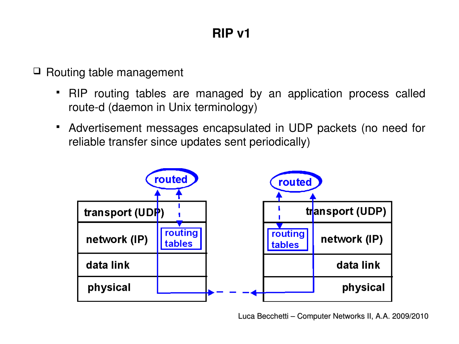$\Box$  Routing table management

- RIP routing tables are managed by an application process called route-d (daemon in Unix terminology)
- Advertisement messages encapsulated in UDP packets (no need for reliable transfer since updates sent periodically)

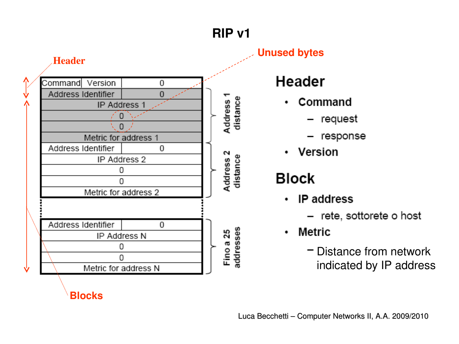

**Unused bytes**

# **Header**

- Command ٠
	- request
	- response
- Version ٠

# **Block**

- **IP** address  $\bullet$ 
	- rete, sottorete o host
- Metric ٠
	- Distance from network indicated by IP address

**Blocks**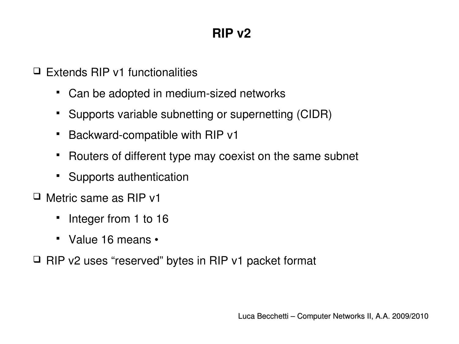$\Box$  Extends RIP v1 functionalities

- Can be adopted in medium-sized networks
- Supports variable subnetting or supernetting (CIDR)
- Backward-compatible with RIP v1
- Routers of different type may coexist on the same subnet
- Supports authentication
- Metric same as RIP v1
	- Integer from 1 to 16
	- Value 16 means •
- $\Box$  RIP v2 uses "reserved" bytes in RIP v1 packet format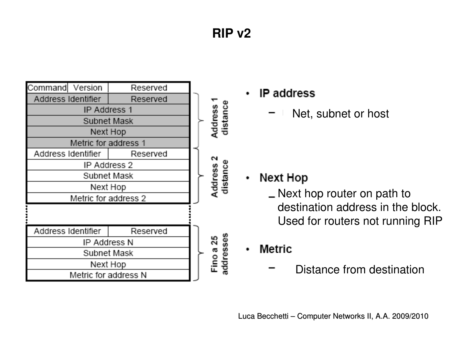

- **IP** address  $\bullet$ 
	- Net, subnet or host

- Next Hop ٠
	- Next hop router on path to destination address in the block. Used for routers not running RIP

Metric

Distance from destination